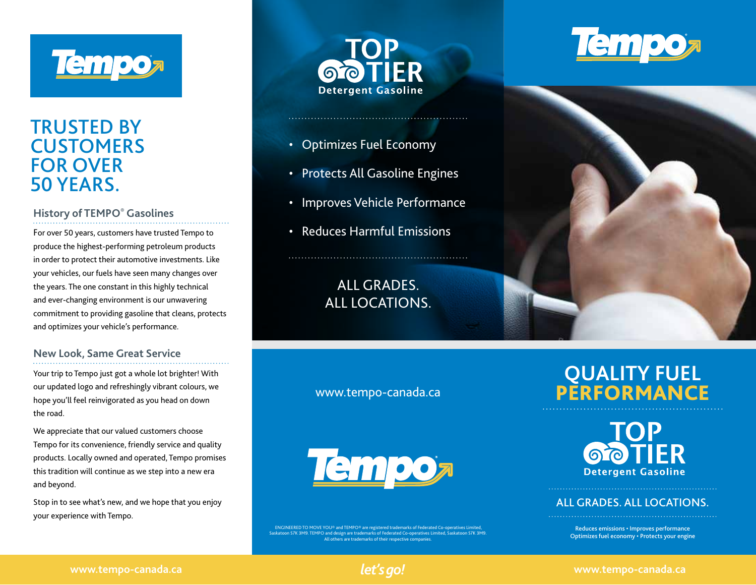

### TRUSTED BY **CUSTOMERS** FOR OVER 50 YEARS.

### **History of TEMPO® Gasolines**

For over 50 years, customers have trusted Tempo to produce the highest-performing petroleum products in order to protect their automotive investments. Like your vehicles, our fuels have seen many changes over the years. The one constant in this highly technical and ever-changing environment is our unwavering commitment to providing gasoline that cleans, protects and optimizes your vehicle's performance.

#### **New Look, Same Great Service**

Your trip to Tempo just got a whole lot brighter! With our updated logo and refreshingly vibrant colours, we hope you'll feel reinvigorated as you head on down the road.

We appreciate that our valued customers choose Tempo for its convenience, friendly service and quality products. Locally owned and operated, Tempo promises this tradition will continue as we step into a new era and beyond.

Stop in to see what's new, and we hope that you enjoy your experience with Tempo.



- Optimizes Fuel Economy
- Protects All Gasoline Engines
- Improves Vehicle Performance
- Reduces Harmful Emissions

### ALL GRADES. ALL LOCATIONS.

www.tempo-canada.ca



 ENGINEERED TO MOVE YOU® and TEMPO® are registered trademarks of Federated Co-operatives Limited, Saskatoon S7K 3M9. TEMPO and design are trademarks of Federated Co-operatives Limited, Saskatoon S7K 3M9. All others are trademarks of their respective companies.

# **Tempo**



## **QUALITY FUEL** PERFORMANCE

**IFR Detergent Gasoline** 

### ALL GRADES. ALL LOCATIONS.

Reduces emissions • Improves performance Optimizes fuel economy • Protects your engine



#### **www.tempo-canada.ca www.tempo-canada.ca**